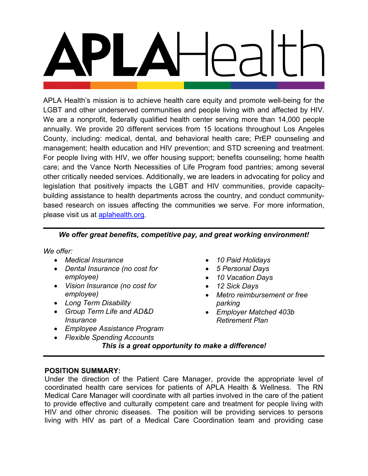APLA Health's mission is to achieve health care equity and promote well-being for the LGBT and other underserved communities and people living with and affected by HIV. We are a nonprofit, federally qualified health center serving more than 14,000 people annually. We provide 20 different services from 15 locations throughout Los Angeles County, including: medical, dental, and behavioral health care; PrEP counseling and management; health education and HIV prevention; and STD screening and treatment. For people living with HIV, we offer housing support; benefits counseling; home health care; and the Vance North Necessities of Life Program food pantries; among several other critically needed services. Additionally, we are leaders in advocating for policy and legislation that positively impacts the LGBT and HIV communities, provide capacitybuilding assistance to health departments across the country, and conduct communitybased research on issues affecting the communities we serve. For more information, please visit us at **aplahealth.org**.

# *We offer great benefits, competitive pay, and great working environment!*

*We offer:*

- *Medical Insurance*
- *Dental Insurance (no cost for employee)*
- *Vision Insurance (no cost for employee)*
- *Long Term Disability*
- *Group Term Life and AD&D Insurance*
- *Employee Assistance Program*
- *Flexible Spending Accounts*
- *10 Paid Holidays*
- *5 Personal Days*
- *10 Vacation Days*
- *12 Sick Days*
- *Metro reimbursement or free parking*
- *Employer Matched 403b Retirement Plan*

*This is a great opportunity to make a difference!*

# **POSITION SUMMARY:**

Under the direction of the Patient Care Manager, provide the appropriate level of coordinated health care services for patients of APLA Health & Wellness. The RN Medical Care Manager will coordinate with all parties involved in the care of the patient to provide effective and culturally competent care and treatment for people living with HIV and other chronic diseases. The position will be providing services to persons living with HIV as part of a Medical Care Coordination team and providing case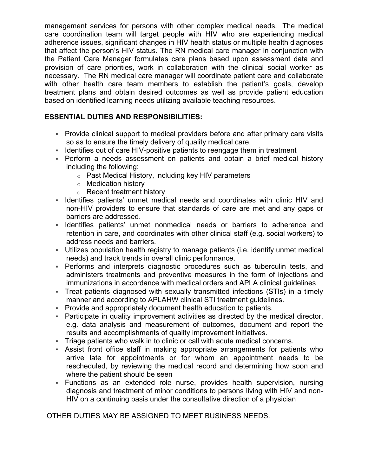management services for persons with other complex medical needs. The medical care coordination team will target people with HIV who are experiencing medical adherence issues, significant changes in HIV health status or multiple health diagnoses that affect the person's HIV status. The RN medical care manager in conjunction with the Patient Care Manager formulates care plans based upon assessment data and provision of care priorities, work in collaboration with the clinical social worker as necessary. The RN medical care manager will coordinate patient care and collaborate with other health care team members to establish the patient's goals, develop treatment plans and obtain desired outcomes as well as provide patient education based on identified learning needs utilizing available teaching resources.

# **ESSENTIAL DUTIES AND RESPONSIBILITIES:**

- Provide clinical support to medical providers before and after primary care visits so as to ensure the timely delivery of quality medical care.
- I Identifies out of care HIV-positive patients to reengage them in treatment
- Perform a needs assessment on patients and obtain a brief medical history including the following:
	- o Past Medical History, including key HIV parameters
	- o Medication history
	- o Recent treatment history
- I Identifies patients' unmet medical needs and coordinates with clinic HIV and non-HIV providers to ensure that standards of care are met and any gaps or barriers are addressed.
- **Indentifies patients' unmet nonmedical needs or barriers to adherence and** retention in care, and coordinates with other clinical staff (e.g. social workers) to address needs and barriers.
- Utilizes population health registry to manage patients (i.e. identify unmet medical needs) and track trends in overall clinic performance.
- Performs and interprets diagnostic procedures such as tuberculin tests, and administers treatments and preventive measures in the form of injections and immunizations in accordance with medical orders and APLA clinical guidelines
- Treat patients diagnosed with sexually transmitted infections (STIs) in a timely manner and according to APLAHW clinical STI treatment guidelines.
- Provide and appropriately document health education to patients.
- Participate in quality improvement activities as directed by the medical director, e.g. data analysis and measurement of outcomes, document and report the results and accomplishments of quality improvement initiatives.
- Triage patients who walk in to clinic or call with acute medical concerns.
- Assist front office staff in making appropriate arrangements for patients who arrive late for appointments or for whom an appointment needs to be rescheduled, by reviewing the medical record and determining how soon and where the patient should be seen
- Functions as an extended role nurse, provides health supervision, nursing diagnosis and treatment of minor conditions to persons living with HIV and non-HIV on a continuing basis under the consultative direction of a physician

OTHER DUTIES MAY BE ASSIGNED TO MEET BUSINESS NEEDS.